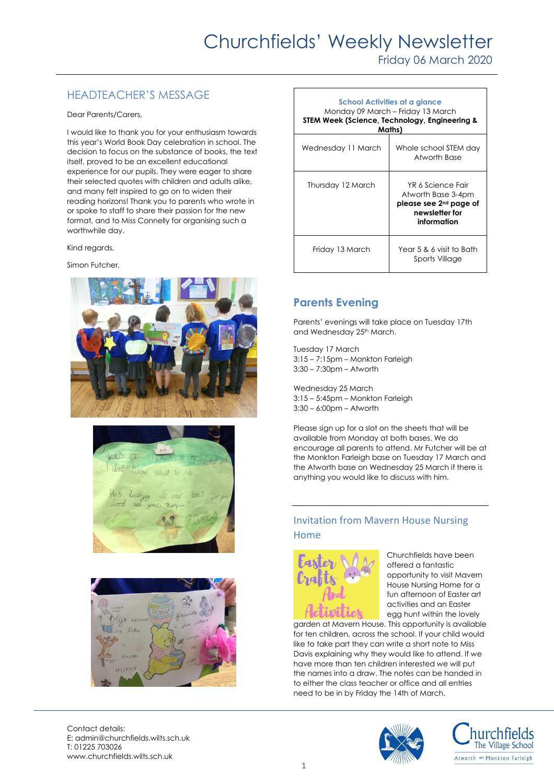Friday 06 March 2020

# HEADTEACHER'S MESSAGE

Dear Parents/Carers,

I would like to thank you for your enthusiasm towards this year's World Book Day celebration in school. The decision to focus on the substance of books, the text itself, proved to be an excellent educational experience for our pupils. They were eager to share their selected quotes with children and adults alike, and many felt inspired to go on to widen their reading horizons! Thank you to parents who wrote in or spoke to staff to share their passion for the new format, and to Miss Connelly for organising such a worthwhile day.

Kind regards,

Simon Futcher*.*







| School Activities at a glance<br>Monday 09 March - Friday 13 March<br>STEM Week (Science, Technology, Engineering &<br>Maths) |                                                                                                                |
|-------------------------------------------------------------------------------------------------------------------------------|----------------------------------------------------------------------------------------------------------------|
| Wednesday 11 March                                                                                                            | Whole school STEM day<br>Atworth Base                                                                          |
| Thursday 12 March                                                                                                             | YR 6 Science Fair<br>Atworth Base 3-4pm<br>please see 2 <sup>nd</sup> page of<br>newsletter for<br>information |
| Friday 13 March                                                                                                               | Year 5 & 6 visit to Bath<br>Sports Village                                                                     |

## **Parents Evening**

Parents' evenings will take place on Tuesday 17th and Wednesday 25th March.

Tuesday 17 March 3:15 – 7:15pm – Monkton Farleigh 3:30 – 7:30pm – Atworth

Wednesday 25 March 3:15 – 5:45pm – Monkton Farleigh 3:30 – 6:00pm – Atworth

Please sign up for a slot on the sheets that will be available from Monday at both bases. We do encourage all parents to attend. Mr Futcher will be at the Monkton Farleigh base on Tuesday 17 March and the Atworth base on Wednesday 25 March if there is anything you would like to discuss with him.

#### Invitation from Mavern House Nursing Home



Churchfields have been offered a fantastic opportunity to visit Mavern House Nursing Home for a fun afternoon of Easter art activities and an Easter egg hunt within the lovely

garden at Mavern House. This opportunity is available for ten children, across the school. If your child would like to take part they can write a short note to Miss Davis explaining why they would like to attend. If we have more than ten children interested we will put the names into a draw. The notes can be handed in to either the class teacher or office and all entries need to be in by Friday the 14th of March.

Contact details: E: admin@churchfields.wilts.sch.uk T: 01225 703026 www.churchfields.wilts.sch.uk



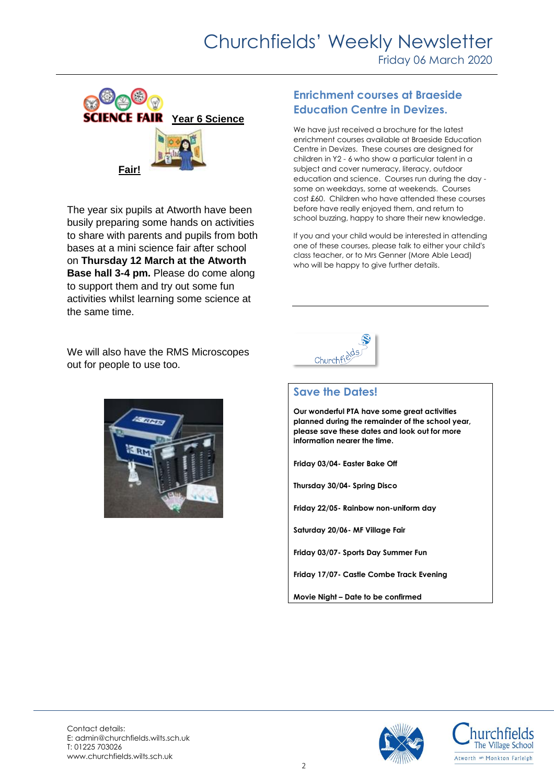# Churchfields' Weekly Newsletter

Friday 06 March 2020



The year six pupils at Atworth have been busily preparing some hands on activities to share with parents and pupils from both bases at a mini science fair after school on **Thursday 12 March at the Atworth Base hall 3-4 pm.** Please do come along to support them and try out some fun activities whilst learning some science at the same time.

We will also have the RMS Microscopes out for people to use too.



#### **Enrichment courses at Braeside Education Centre in Devizes.**

We have just received a brochure for the latest enrichment courses available at Braeside Education Centre in Devizes. These courses are designed for children in Y2 - 6 who show a particular talent in a subject and cover numeracy, literacy, outdoor education and science. Courses run during the day some on weekdays, some at weekends. Courses cost £60. Children who have attended these courses before have really enjoyed them, and return to school buzzing, happy to share their new knowledge.

If you and your child would be interested in attending one of these courses, please talk to either your child's class teacher, or to Mrs Genner (More Able Lead) who will be happy to give further details.



#### **Save the Dates!**

**Our wonderful PTA have some great activities planned during the remainder of the school year, please save these dates and look out for more information nearer the time.** 

**Friday 03/04- Easter Bake Off** 

**Thursday 30/04- Spring Disco**

**Friday 22/05- Rainbow non-uniform day**

**Saturday 20/06- MF Village Fair**

**Friday 03/07- Sports Day Summer Fun**

**Friday 17/07- Castle Combe Track Evening**

**Movie Night – Date to be confirmed**





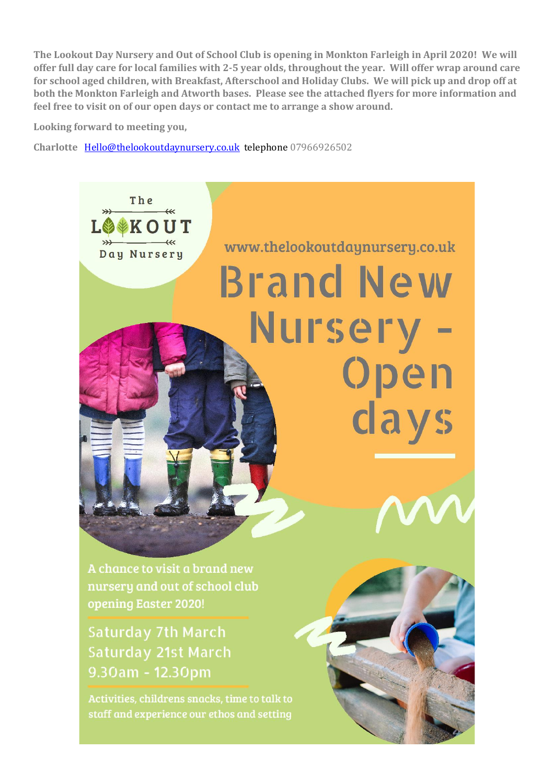**The Lookout Day Nursery and Out of School Club is opening in Monkton Farleigh in April 2020! We will offer full day care for local families with 2-5 year olds, throughout the year. Will offer wrap around care for school aged children, with Breakfast, Afterschool and Holiday Clubs. We will pick up and drop off at both the Monkton Farleigh and Atworth bases. Please see the attached flyers for more information and feel free to visit on of our open days or contact me to arrange a show around.**

**Looking forward to meeting you,** 

**Charlotte** [Hello@thelookoutdaynursery.co.uk](mailto:Hello@thelookoutdaynursery.co.uk) telephone 07966926502



staff and experience our ethos and setting